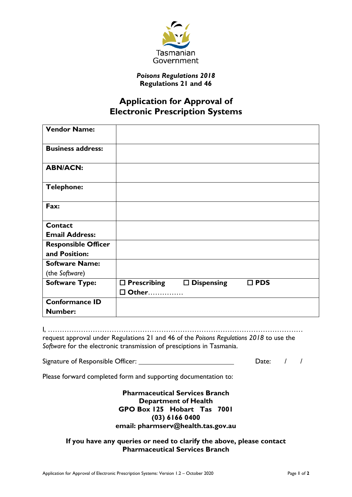

## *Poisons Regulations 2018* **Regulations 21 and 46**

## **Application for Approval of Electronic Prescription Systems**

| <b>Vendor Name:</b>                         |                       |                      |               |  |
|---------------------------------------------|-----------------------|----------------------|---------------|--|
| <b>Business address:</b>                    |                       |                      |               |  |
| <b>ABN/ACN:</b>                             |                       |                      |               |  |
| <b>Telephone:</b>                           |                       |                      |               |  |
| Fax:                                        |                       |                      |               |  |
| Contact                                     |                       |                      |               |  |
| <b>Email Address:</b>                       |                       |                      |               |  |
| <b>Responsible Officer</b><br>and Position: |                       |                      |               |  |
| <b>Software Name:</b>                       |                       |                      |               |  |
| (the Software)                              |                       |                      |               |  |
| <b>Software Type:</b>                       | $\square$ Prescribing | $\square$ Dispensing | $\square$ PDS |  |
|                                             | □ Other               |                      |               |  |
| <b>Conformance ID</b>                       |                       |                      |               |  |
| <b>Number:</b>                              |                       |                      |               |  |

I, ……………………………………………………………………………………………… request approval under Regulations 21 and 46 of the *Poisons Regulations 2018* to use the *Software* for the electronic transmission of presciptions in Tasmania.

Signature of Responsible Officer: Date: / /

Please forward completed form and supporting documentation to:

**Pharmaceutical Services Branch Department of Health GPO Box 125 Hobart Tas 7001 (03) 6166 0400 email: pharmserv@health.tas.gov.au**

**If you have any queries or need to clarify the above, please contact Pharmaceutical Services Branch**